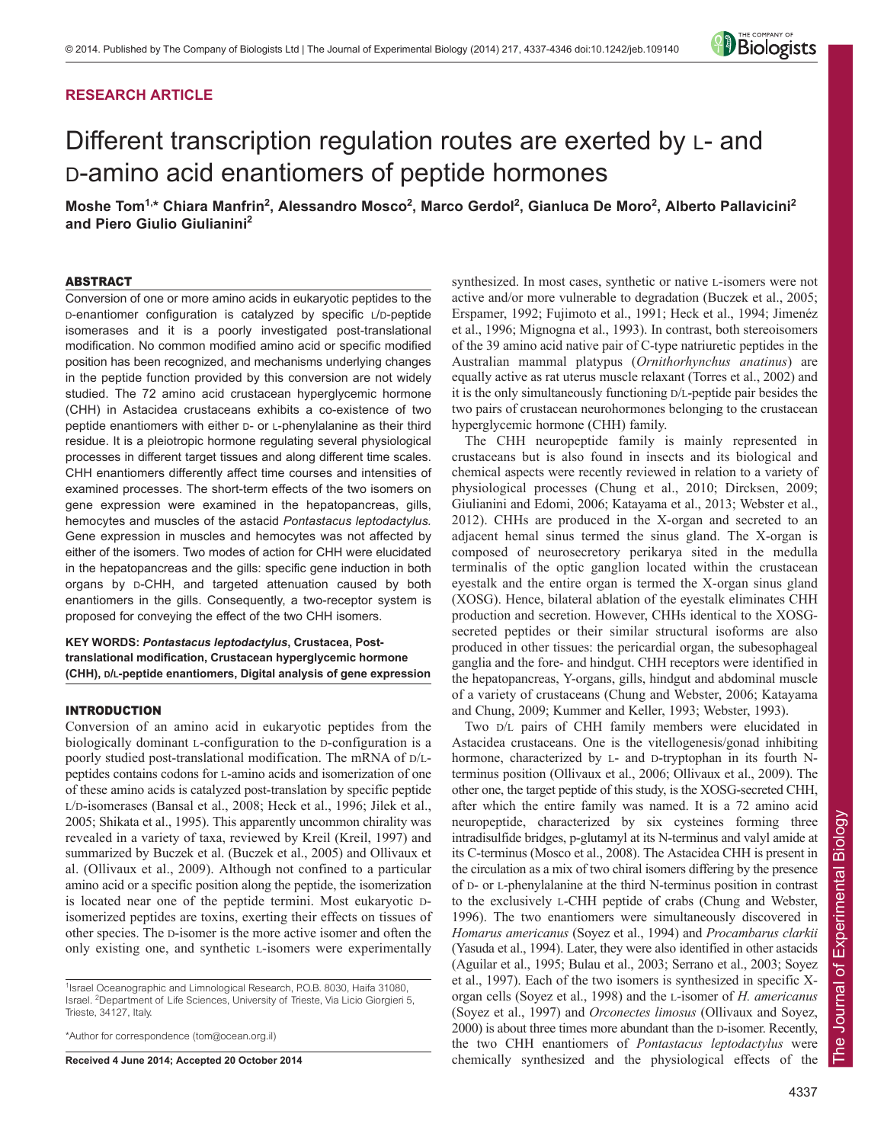## **RESEARCH ARTICLE**

# Different transcription regulation routes are exerted by L- and D-amino acid enantiomers of peptide hormones

**Moshe Tom1,\* Chiara Manfrin2 , Alessandro Mosco2 , Marco Gerdol2 , Gianluca De Moro2 , Alberto Pallavicini2 and Piero Giulio Giulianini2**

## ABSTRACT

Conversion of one or more amino acids in eukaryotic peptides to the D-enantiomer configuration is catalyzed by specific L/D-peptide isomerases and it is a poorly investigated post-translational modification. No common modified amino acid or specific modified position has been recognized, and mechanisms underlying changes in the peptide function provided by this conversion are not widely studied. The 72 amino acid crustacean hyperglycemic hormone (CHH) in Astacidea crustaceans exhibits a co-existence of two peptide enantiomers with either D- or L-phenylalanine as their third residue. It is a pleiotropic hormone regulating several physiological processes in different target tissues and along different time scales. CHH enantiomers differently affect time courses and intensities of examined processes. The short-term effects of the two isomers on gene expression were examined in the hepatopancreas, gills, hemocytes and muscles of the astacid *Pontastacus leptodactylus.* Gene expression in muscles and hemocytes was not affected by either of the isomers. Two modes of action for CHH were elucidated in the hepatopancreas and the gills: specific gene induction in both organs by D-CHH, and targeted attenuation caused by both enantiomers in the gills. Consequently, a two-receptor system is proposed for conveying the effect of the two CHH isomers.

## **KEY WORDS:** *Pontastacus leptodactylus***, Crustacea, Posttranslational modification, Crustacean hyperglycemic hormone (CHH), D/L-peptide enantiomers, Digital analysis of gene expression**

## INTRODUCTION

Conversion of an amino acid in eukaryotic peptides from the biologically dominant L-configuration to the D-configuration is a poorly studied post-translational modification. The mRNA of D/Lpeptides contains codons for L-amino acids and isomerization of one of these amino acids is catalyzed post-translation by specific peptide L/D-isomerases (Bansal et al., 2008; Heck et al., 1996; Jilek et al., 2005; Shikata et al., 1995). This apparently uncommon chirality was revealed in a variety of taxa, reviewed by Kreil (Kreil, 1997) and summarized by Buczek et al. (Buczek et al., 2005) and Ollivaux et al. (Ollivaux et al., 2009). Although not confined to a particular amino acid or a specific position along the peptide, the isomerization is located near one of the peptide termini. Most eukaryotic Disomerized peptides are toxins, exerting their effects on tissues of other species. The D-isomer is the more active isomer and often the only existing one, and synthetic L-isomers were experimentally

\*Author for correspondence (tom@ocean.org.il)

**Received 4 June 2014; Accepted 20 October 2014**

synthesized. In most cases, synthetic or native L-isomers were not active and/or more vulnerable to degradation (Buczek et al., 2005; Erspamer, 1992; Fujimoto et al., 1991; Heck et al., 1994; Jimenéz et al., 1996; Mignogna et al., 1993). In contrast, both stereoisomers of the 39 amino acid native pair of C-type natriuretic peptides in the Australian mammal platypus (*Ornithorhynchus anatinus*) are equally active as rat uterus muscle relaxant (Torres et al., 2002) and it is the only simultaneously functioning D/L-peptide pair besides the two pairs of crustacean neurohormones belonging to the crustacean hyperglycemic hormone (CHH) family.

The CHH neuropeptide family is mainly represented in crustaceans but is also found in insects and its biological and chemical aspects were recently reviewed in relation to a variety of physiological processes (Chung et al., 2010; Dircksen, 2009; Giulianini and Edomi, 2006; Katayama et al., 2013; Webster et al., 2012). CHHs are produced in the X-organ and secreted to an adjacent hemal sinus termed the sinus gland. The X-organ is composed of neurosecretory perikarya sited in the medulla terminalis of the optic ganglion located within the crustacean eyestalk and the entire organ is termed the X-organ sinus gland (XOSG). Hence, bilateral ablation of the eyestalk eliminates CHH production and secretion. However, CHHs identical to the XOSGsecreted peptides or their similar structural isoforms are also produced in other tissues: the pericardial organ, the subesophageal ganglia and the fore- and hindgut. CHH receptors were identified in the hepatopancreas, Y-organs, gills, hindgut and abdominal muscle of a variety of crustaceans (Chung and Webster, 2006; Katayama and Chung, 2009; Kummer and Keller, 1993; Webster, 1993).

Two D/L pairs of CHH family members were elucidated in Astacidea crustaceans. One is the vitellogenesis/gonad inhibiting hormone, characterized by L- and D-tryptophan in its fourth Nterminus position (Ollivaux et al., 2006; Ollivaux et al., 2009). The other one, the target peptide of this study, is the XOSG-secreted CHH, after which the entire family was named. It is a 72 amino acid neuropeptide, characterized by six cysteines forming three intradisulfide bridges, p-glutamyl at its N-terminus and valyl amide at its C-terminus (Mosco et al., 2008). The Astacidea CHH is present in the circulation as a mix of two chiral isomers differing by the presence of D- or L-phenylalanine at the third N-terminus position in contrast to the exclusively L-CHH peptide of crabs (Chung and Webster, 1996). The two enantiomers were simultaneously discovered in *Homarus americanus* (Soyez et al., 1994) and *Procambarus clarkii* (Yasuda et al., 1994). Later, they were also identified in other astacids (Aguilar et al., 1995; Bulau et al., 2003; Serrano et al., 2003; Soyez et al., 1997). Each of the two isomers is synthesized in specific Xorgan cells (Soyez et al., 1998) and the L-isomer of *H. americanus* (Soyez et al., 1997) and *Orconectes limosus* (Ollivaux and Soyez, 2000) is about three times more abundant than the D-isomer. Recently, the two CHH enantiomers of *Pontastacus leptodactylus* were chemically synthesized and the physiological effects of the



<sup>&</sup>lt;sup>1</sup>Israel Oceanographic and Limnological Research, P.O.B. 8030, Haifa 31080, Israel. <sup>2</sup>Department of Life Sciences, University of Trieste, Via Licio Giorgieri 5, Trieste, 34127, Italy.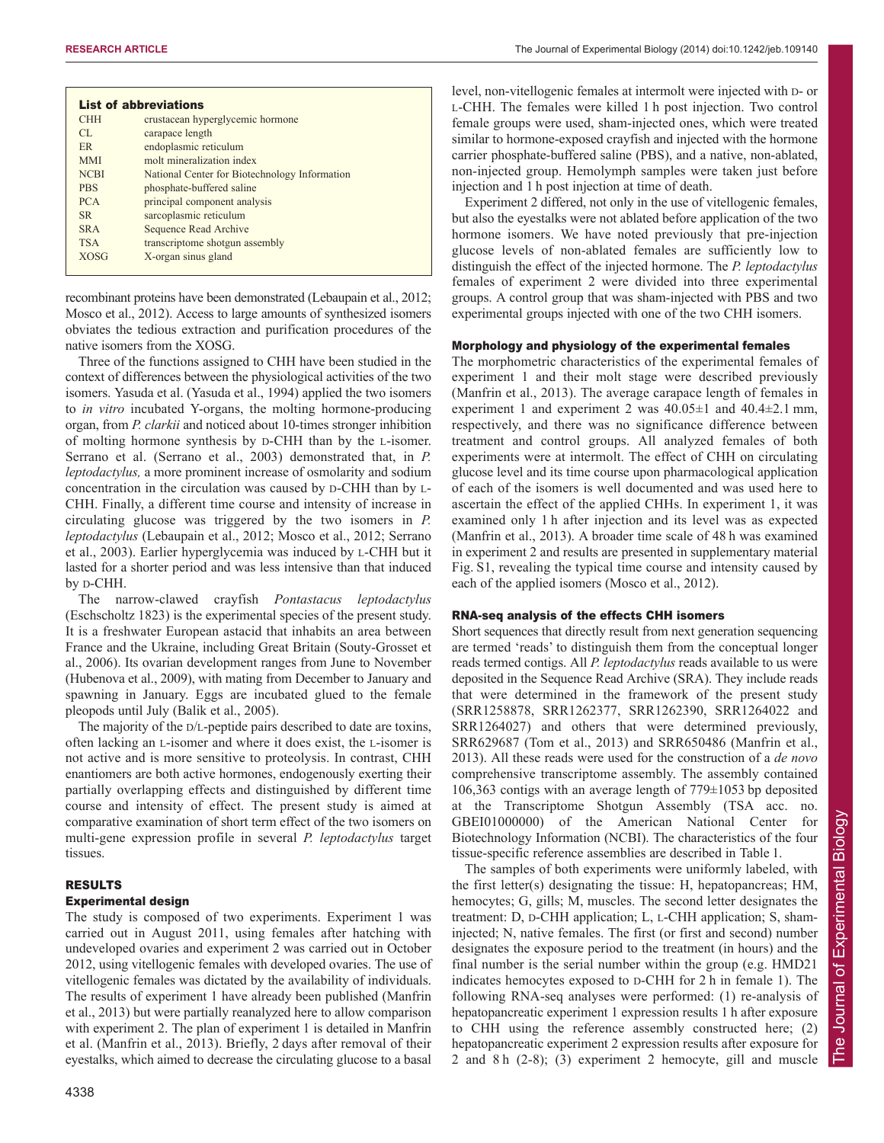| <b>CHH</b>  | crustacean hyperglycemic hormone              |
|-------------|-----------------------------------------------|
| CL          | carapace length                               |
| <b>ER</b>   | endoplasmic reticulum                         |
| <b>MMI</b>  | molt mineralization index                     |
| <b>NCBI</b> | National Center for Biotechnology Information |
| <b>PRS</b>  | phosphate-buffered saline                     |
| <b>PCA</b>  | principal component analysis                  |
| <b>SR</b>   | sarcoplasmic reticulum                        |
| <b>SRA</b>  | Sequence Read Archive                         |
| <b>TSA</b>  | transcriptome shotgun assembly                |
| <b>XOSG</b> | X-organ sinus gland                           |

recombinant proteins have been demonstrated (Lebaupain et al., 2012; Mosco et al., 2012). Access to large amounts of synthesized isomers obviates the tedious extraction and purification procedures of the native isomers from the XOSG.

Three of the functions assigned to CHH have been studied in the context of differences between the physiological activities of the two isomers. Yasuda et al. (Yasuda et al., 1994) applied the two isomers to *in vitro* incubated Y-organs, the molting hormone-producing organ, from *P. clarkii* and noticed about 10-times stronger inhibition of molting hormone synthesis by D-CHH than by the L-isomer. Serrano et al. (Serrano et al., 2003) demonstrated that, in *P. leptodactylus,* a more prominent increase of osmolarity and sodium concentration in the circulation was caused by D-CHH than by L-CHH. Finally, a different time course and intensity of increase in circulating glucose was triggered by the two isomers in *P. leptodactylus* (Lebaupain et al., 2012; Mosco et al., 2012; Serrano et al., 2003). Earlier hyperglycemia was induced by L-CHH but it lasted for a shorter period and was less intensive than that induced by D-CHH.

The narrow-clawed crayfish *Pontastacus leptodactylus* (Eschscholtz 1823) is the experimental species of the present study. It is a freshwater European astacid that inhabits an area between France and the Ukraine, including Great Britain (Souty-Grosset et al., 2006). Its ovarian development ranges from June to November (Hubenova et al., 2009), with mating from December to January and spawning in January. Eggs are incubated glued to the female pleopods until July (Balik et al., 2005).

The majority of the D/L-peptide pairs described to date are toxins, often lacking an L-isomer and where it does exist, the L-isomer is not active and is more sensitive to proteolysis. In contrast, CHH enantiomers are both active hormones, endogenously exerting their partially overlapping effects and distinguished by different time course and intensity of effect. The present study is aimed at comparative examination of short term effect of the two isomers on multi-gene expression profile in several *P. leptodactylus* target tissues.

## RESULTS

#### Experimental design

The study is composed of two experiments. Experiment 1 was carried out in August 2011, using females after hatching with undeveloped ovaries and experiment 2 was carried out in October 2012, using vitellogenic females with developed ovaries. The use of vitellogenic females was dictated by the availability of individuals. The results of experiment 1 have already been published (Manfrin et al., 2013) but were partially reanalyzed here to allow comparison with experiment 2. The plan of experiment 1 is detailed in Manfrin et al. (Manfrin et al., 2013). Briefly, 2 days after removal of their eyestalks, which aimed to decrease the circulating glucose to a basal level, non-vitellogenic females at intermolt were injected with D- or L-CHH. The females were killed 1 h post injection. Two control female groups were used, sham-injected ones, which were treated similar to hormone-exposed crayfish and injected with the hormone carrier phosphate-buffered saline (PBS), and a native, non-ablated, non-injected group. Hemolymph samples were taken just before injection and 1 h post injection at time of death.

Experiment 2 differed, not only in the use of vitellogenic females, but also the eyestalks were not ablated before application of the two hormone isomers. We have noted previously that pre-injection glucose levels of non-ablated females are sufficiently low to distinguish the effect of the injected hormone. The *P. leptodactylus* females of experiment 2 were divided into three experimental groups. A control group that was sham-injected with PBS and two experimental groups injected with one of the two CHH isomers.

#### Morphology and physiology of the experimental females

The morphometric characteristics of the experimental females of experiment 1 and their molt stage were described previously (Manfrin et al., 2013). The average carapace length of females in experiment 1 and experiment 2 was  $40.05\pm1$  and  $40.4\pm2.1$  mm, respectively, and there was no significance difference between treatment and control groups. All analyzed females of both experiments were at intermolt. The effect of CHH on circulating glucose level and its time course upon pharmacological application of each of the isomers is well documented and was used here to ascertain the effect of the applied CHHs. In experiment 1, it was examined only 1 h after injection and its level was as expected (Manfrin et al., 2013). A broader time scale of 48 h was examined in experiment 2 and results are presented in supplementary material Fig. S1, revealing the typical time course and intensity caused by each of the applied isomers (Mosco et al., 2012).

#### RNA-seq analysis of the effects CHH isomers

Short sequences that directly result from next generation sequencing are termed 'reads' to distinguish them from the conceptual longer reads termed contigs. All *P. leptodactylus* reads available to us were deposited in the Sequence Read Archive (SRA). They include reads that were determined in the framework of the present study (SRR1258878, SRR1262377, SRR1262390, SRR1264022 and SRR1264027) and others that were determined previously, SRR629687 (Tom et al., 2013) and SRR650486 (Manfrin et al., 2013). All these reads were used for the construction of a *de novo* comprehensive transcriptome assembly. The assembly contained 106,363 contigs with an average length of 779±1053 bp deposited at the Transcriptome Shotgun Assembly (TSA acc. no. GBEI01000000) of the American National Center for Biotechnology Information (NCBI). The characteristics of the four tissue-specific reference assemblies are described in Table 1.

The samples of both experiments were uniformly labeled, with the first letter(s) designating the tissue: H, hepatopancreas; HM, hemocytes; G, gills; M, muscles. The second letter designates the treatment: D, D-CHH application; L, L-CHH application; S, shaminjected; N, native females. The first (or first and second) number designates the exposure period to the treatment (in hours) and the final number is the serial number within the group (e.g. HMD21 indicates hemocytes exposed to D-CHH for 2 h in female 1). The following RNA-seq analyses were performed: (1) re-analysis of hepatopancreatic experiment 1 expression results 1 h after exposure to CHH using the reference assembly constructed here; (2) hepatopancreatic experiment 2 expression results after exposure for 2 and 8 h (2-8); (3) experiment 2 hemocyte, gill and muscle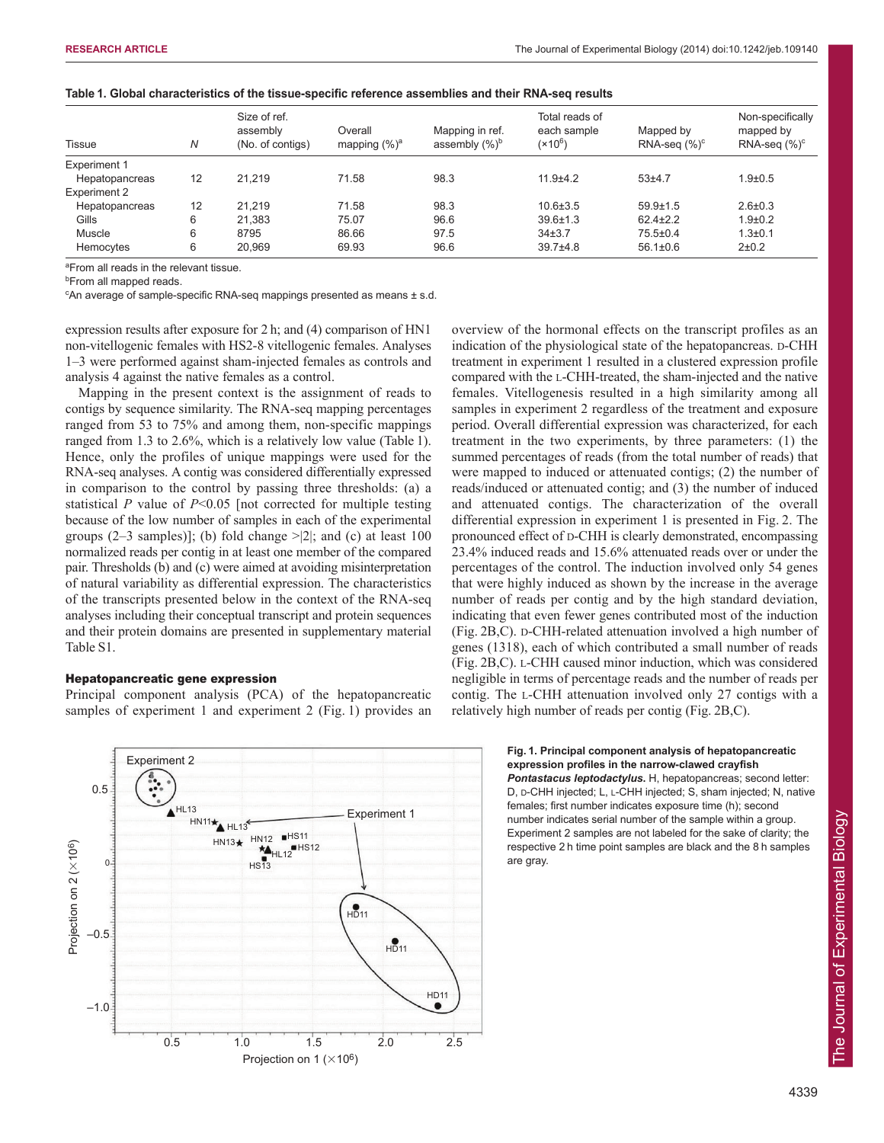| <b>Tissue</b>       | N  | Size of ref.<br>assembly<br>(No. of contigs) | Overall<br>mapping $(\%)^a$ | Mapping in ref.<br>assembly $(\%)^b$ | Total reads of<br>each sample<br>$(x10^6)$ | Mapped by<br>$RNA-seq$ $(\%)^c$ | Non-specifically<br>mapped by<br>RNA-seq $(\%)^c$ |
|---------------------|----|----------------------------------------------|-----------------------------|--------------------------------------|--------------------------------------------|---------------------------------|---------------------------------------------------|
| <b>Experiment 1</b> |    |                                              |                             |                                      |                                            |                                 |                                                   |
| Hepatopancreas      | 12 | 21.219                                       | 71.58                       | 98.3                                 | $11.9 + 4.2$                               | $53+4.7$                        | $1.9 + 0.5$                                       |
| Experiment 2        |    |                                              |                             |                                      |                                            |                                 |                                                   |
| Hepatopancreas      | 12 | 21.219                                       | 71.58                       | 98.3                                 | $10.6 \pm 3.5$                             | $59.9 \pm 1.5$                  | $2.6 \pm 0.3$                                     |
| Gills               | 6  | 21.383                                       | 75.07                       | 96.6                                 | $39.6 \pm 1.3$                             | $62.4 \pm 2.2$                  | $1.9 + 0.2$                                       |
| Muscle              | 6  | 8795                                         | 86.66                       | 97.5                                 | 34±3.7                                     | $75.5 \pm 0.4$                  | $1.3 + 0.1$                                       |
| Hemocytes           | 6  | 20.969                                       | 69.93                       | 96.6                                 | $39.7 + 4.8$                               | $56.1 \pm 0.6$                  | $2 + 0.2$                                         |
|                     |    |                                              |                             |                                      |                                            |                                 |                                                   |

|  | Table 1. Global characteristics of the tissue-specific reference assemblies and their RNA-seq results |  |
|--|-------------------------------------------------------------------------------------------------------|--|
|--|-------------------------------------------------------------------------------------------------------|--|

<sup>a</sup>From all reads in the relevant tissue.

**b**From all mapped reads.

<sup>c</sup>An average of sample-specific RNA-seq mappings presented as means ± s.d.

expression results after exposure for 2 h; and (4) comparison of HN1 non-vitellogenic females with HS2-8 vitellogenic females. Analyses 1–3 were performed against sham-injected females as controls and analysis 4 against the native females as a control.

Mapping in the present context is the assignment of reads to contigs by sequence similarity. The RNA-seq mapping percentages ranged from 53 to 75% and among them, non-specific mappings ranged from 1.3 to 2.6%, which is a relatively low value (Table 1). Hence, only the profiles of unique mappings were used for the RNA-seq analyses. A contig was considered differentially expressed in comparison to the control by passing three thresholds: (a) a statistical *P* value of *P*<0.05 [not corrected for multiple testing because of the low number of samples in each of the experimental groups  $(2-3 \text{ samples})$ ; (b) fold change  $> |2|$ ; and (c) at least 100 normalized reads per contig in at least one member of the compared pair. Thresholds (b) and (c) were aimed at avoiding misinterpretation of natural variability as differential expression. The characteristics of the transcripts presented below in the context of the RNA-seq analyses including their conceptual transcript and protein sequences and their protein domains are presented in supplementary material Table S1.

#### Hepatopancreatic gene expression

Principal component analysis (PCA) of the hepatopancreatic samples of experiment 1 and experiment 2 (Fig. 1) provides an



overview of the hormonal effects on the transcript profiles as an indication of the physiological state of the hepatopancreas. D-CHH treatment in experiment 1 resulted in a clustered expression profile compared with the L-CHH-treated, the sham-injected and the native females. Vitellogenesis resulted in a high similarity among all samples in experiment 2 regardless of the treatment and exposure period. Overall differential expression was characterized, for each treatment in the two experiments, by three parameters: (1) the summed percentages of reads (from the total number of reads) that were mapped to induced or attenuated contigs; (2) the number of reads/induced or attenuated contig; and (3) the number of induced and attenuated contigs. The characterization of the overall differential expression in experiment 1 is presented in Fig. 2. The pronounced effect of D-CHH is clearly demonstrated, encompassing 23.4% induced reads and 15.6% attenuated reads over or under the percentages of the control. The induction involved only 54 genes that were highly induced as shown by the increase in the average number of reads per contig and by the high standard deviation, indicating that even fewer genes contributed most of the induction (Fig. 2B,C). D-CHH-related attenuation involved a high number of genes (1318), each of which contributed a small number of reads (Fig. 2B,C). L-CHH caused minor induction, which was considered negligible in terms of percentage reads and the number of reads per contig. The L-CHH attenuation involved only 27 contigs with a relatively high number of reads per contig (Fig. 2B,C).

> **Fig. 1. Principal component analysis of hepatopancreatic expression profiles in the narrow-clawed crayfish** *Pontastacus leptodactylus***.** H, hepatopancreas; second letter:

D, D-CHH injected; L, L-CHH injected; S, sham injected; N, native females; first number indicates exposure time (h); second number indicates serial number of the sample within a group. Experiment 2 samples are not labeled for the sake of clarity; the respective 2 h time point samples are black and the 8 h samples are gray.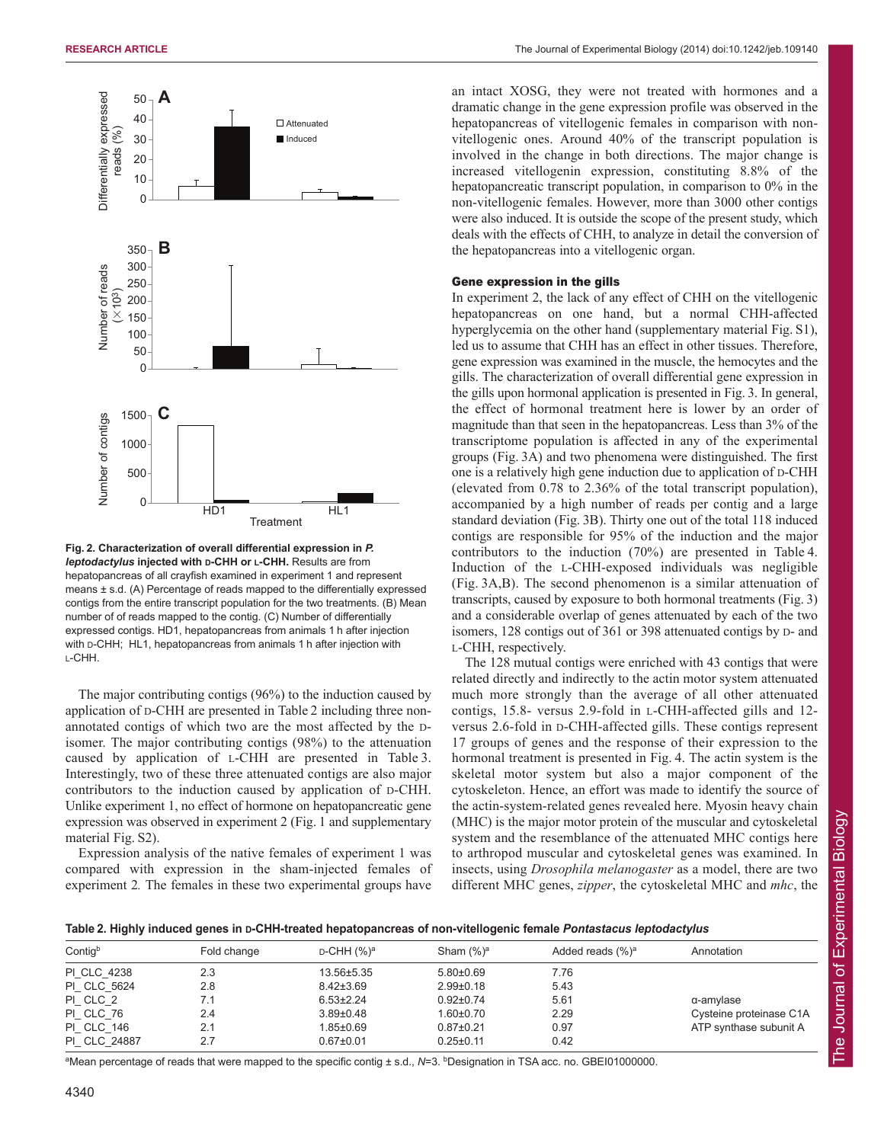

**Fig. 2. Characterization of overall differential expression in** *P. leptodactylus* **injected with D-CHH or L-CHH.** Results are from hepatopancreas of all crayfish examined in experiment 1 and represent means ± s.d. (A) Percentage of reads mapped to the differentially expressed contigs from the entire transcript population for the two treatments. (B) Mean number of of reads mapped to the contig. (C) Number of differentially expressed contigs. HD1, hepatopancreas from animals 1 h after injection with D-CHH; HL1, hepatopancreas from animals 1 h after injection with L-CHH.

The major contributing contigs (96%) to the induction caused by application of D-CHH are presented in Table 2 including three nonannotated contigs of which two are the most affected by the Disomer. The major contributing contigs (98%) to the attenuation caused by application of L-CHH are presented in Table 3. Interestingly, two of these three attenuated contigs are also major contributors to the induction caused by application of D-CHH. Unlike experiment 1, no effect of hormone on hepatopancreatic gene expression was observed in experiment 2 (Fig. 1 and supplementary material Fig. S2).

Expression analysis of the native females of experiment 1 was compared with expression in the sham-injected females of experiment 2*.* The females in these two experimental groups have an intact XOSG, they were not treated with hormones and a dramatic change in the gene expression profile was observed in the hepatopancreas of vitellogenic females in comparison with nonvitellogenic ones. Around 40% of the transcript population is involved in the change in both directions. The major change is increased vitellogenin expression, constituting 8.8% of the hepatopancreatic transcript population, in comparison to 0% in the non-vitellogenic females. However, more than 3000 other contigs were also induced. It is outside the scope of the present study, which deals with the effects of CHH, to analyze in detail the conversion of the hepatopancreas into a vitellogenic organ.

#### Gene expression in the gills

In experiment 2, the lack of any effect of CHH on the vitellogenic hepatopancreas on one hand, but a normal CHH-affected hyperglycemia on the other hand (supplementary material Fig. S1), led us to assume that CHH has an effect in other tissues. Therefore, gene expression was examined in the muscle, the hemocytes and the gills. The characterization of overall differential gene expression in the gills upon hormonal application is presented in Fig. 3. In general, the effect of hormonal treatment here is lower by an order of magnitude than that seen in the hepatopancreas. Less than 3% of the transcriptome population is affected in any of the experimental groups (Fig. 3A) and two phenomena were distinguished. The first one is a relatively high gene induction due to application of D-CHH (elevated from 0.78 to 2.36% of the total transcript population), accompanied by a high number of reads per contig and a large standard deviation (Fig. 3B). Thirty one out of the total 118 induced contigs are responsible for 95% of the induction and the major contributors to the induction (70%) are presented in Table 4. Induction of the L-CHH-exposed individuals was negligible (Fig. 3A,B). The second phenomenon is a similar attenuation of transcripts, caused by exposure to both hormonal treatments (Fig. 3) and a considerable overlap of genes attenuated by each of the two isomers, 128 contigs out of 361 or 398 attenuated contigs by D- and L-CHH, respectively.

The 128 mutual contigs were enriched with 43 contigs that were related directly and indirectly to the actin motor system attenuated much more strongly than the average of all other attenuated contigs, 15.8- versus 2.9-fold in L-CHH-affected gills and 12 versus 2.6-fold in D-CHH-affected gills. These contigs represent 17 groups of genes and the response of their expression to the hormonal treatment is presented in Fig. 4. The actin system is the skeletal motor system but also a major component of the cytoskeleton. Hence, an effort was made to identify the source of the actin-system-related genes revealed here. Myosin heavy chain (MHC) is the major motor protein of the muscular and cytoskeletal system and the resemblance of the attenuated MHC contigs here to arthropod muscular and cytoskeletal genes was examined. In insects, using *Drosophila melanogaster* as a model, there are two different MHC genes, *zipper*, the cytoskeletal MHC and *mhc*, the

**Table 2. Highly induced genes in D-CHH-treated hepatopancreas of non-vitellogenic female** *Pontastacus leptodactylus*

| Contigb           | Fold change | $D$ -CHH $(\%)^a$ | Sham $(\%)^a$   | Added reads $(\%)^a$ | Annotation              |
|-------------------|-------------|-------------------|-----------------|----------------------|-------------------------|
| PI CLC 4238       | 2.3         | 13.56±5.35        | $5.80+0.69$     | 7.76                 |                         |
| PI CLC 5624       | 2.8         | $8.42 \pm 3.69$   | $2.99 \pm 0.18$ | 5.43                 |                         |
| PI CLC 2          | 7.1         | $6.53 \pm 2.24$   | $0.92 \pm 0.74$ | 5.61                 | $\alpha$ -amylase       |
| PI CLC 76         | 2.4         | $3.89 \pm 0.48$   | $1.60 \pm 0.70$ | 2.29                 | Cysteine proteinase C1A |
| <b>PI CLC 146</b> | 2.1         | $1.85 \pm 0.69$   | $0.87 + 0.21$   | 0.97                 | ATP synthase subunit A  |
| PI CLC 24887      | 2.7         | $0.67 \pm 0.01$   | $0.25 \pm 0.11$ | 0.42                 |                         |

aMean percentage of reads that were mapped to the specific contig ± s.d., N=3. bDesignation in TSA acc. no. GBEI01000000.

The Journal of Experimental Biology

The Journal of Experimental Biology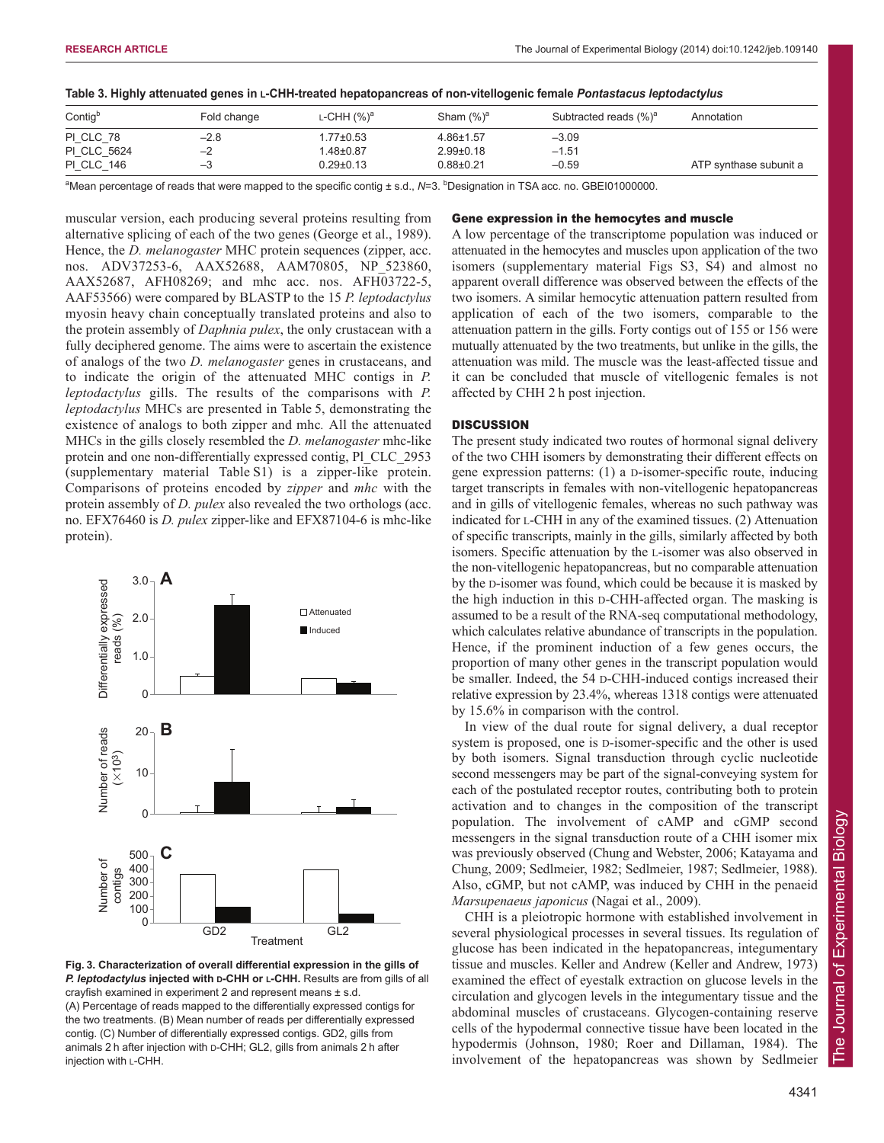| Table 3. Highly attenuated genes in ∟-CHH-treated hepatopancreas of non-vitellogenic female <i>Pontastacus leptodactylus</i> |  |
|------------------------------------------------------------------------------------------------------------------------------|--|
|------------------------------------------------------------------------------------------------------------------------------|--|

| Contig <sup>b</sup> | Fold change | L-CHH $(%)a$    | Sham (%) <sup>a</sup> | Subtracted reads (%) <sup>a</sup> | Annotation             |
|---------------------|-------------|-----------------|-----------------------|-----------------------------------|------------------------|
| PI CLC 78           | $-2.8$      | 1.77±0.53       | 4.86±1.57             | $-3.09$                           |                        |
| PI CLC 5624         | $-2$        | 1.48±0.87       | $2.99 \pm 0.18$       | $-1.51$                           |                        |
| <b>PI CLC 146</b>   | $-3$        | $0.29 \pm 0.13$ | $0.88 + 0.21$         | $-0.59$                           | ATP synthase subunit a |

<sup>a</sup>Mean percentage of reads that were mapped to the specific contig ± s.d., N=3. <sup>b</sup>Designation in TSA acc. no. GBEI01000000.

muscular version, each producing several proteins resulting from alternative splicing of each of the two genes (George et al., 1989). Hence, the *D. melanogaster* MHC protein sequences (zipper, acc. nos. ADV37253-6, AAX52688, AAM70805, NP\_523860, AAX52687, AFH08269; and mhc acc. nos. AFH03722-5, AAF53566) were compared by BLASTP to the 15 *P. leptodactylus* myosin heavy chain conceptually translated proteins and also to the protein assembly of *Daphnia pulex*, the only crustacean with a fully deciphered genome. The aims were to ascertain the existence of analogs of the two *D. melanogaster* genes in crustaceans, and to indicate the origin of the attenuated MHC contigs in *P. leptodactylus* gills. The results of the comparisons with *P. leptodactylus* MHCs are presented in Table 5, demonstrating the existence of analogs to both zipper and mhc*.* All the attenuated MHCs in the gills closely resembled the *D. melanogaster* mhc-like protein and one non-differentially expressed contig, Pl\_CLC\_2953 (supplementary material Table S1) is a zipper*-*like protein. Comparisons of proteins encoded by *zipper* and *mhc* with the protein assembly of *D. pulex* also revealed the two orthologs (acc. no. EFX76460 is *D. pulex* zipper-like and EFX87104-6 is mhc-like protein).



**Fig. 3. Characterization of overall differential expression in the gills of P. leptodactylus injected with D-CHH or L-CHH.** Results are from gills of all crayfish examined in experiment 2 and represent means ± s.d. (A) Percentage of reads mapped to the differentially expressed contigs for the two treatments. (B) Mean number of reads per differentially expressed contig. (C) Number of differentially expressed contigs. GD2, gills from animals 2 h after injection with D-CHH; GL2, gills from animals 2 h after injection with L-CHH.

#### Gene expression in the hemocytes and muscle

A low percentage of the transcriptome population was induced or attenuated in the hemocytes and muscles upon application of the two isomers (supplementary material Figs S3, S4) and almost no apparent overall difference was observed between the effects of the two isomers. A similar hemocytic attenuation pattern resulted from application of each of the two isomers, comparable to the attenuation pattern in the gills. Forty contigs out of 155 or 156 were mutually attenuated by the two treatments, but unlike in the gills, the attenuation was mild. The muscle was the least-affected tissue and it can be concluded that muscle of vitellogenic females is not affected by CHH 2 h post injection.

#### **DISCUSSION**

The present study indicated two routes of hormonal signal delivery of the two CHH isomers by demonstrating their different effects on gene expression patterns: (1) a D-isomer-specific route, inducing target transcripts in females with non-vitellogenic hepatopancreas and in gills of vitellogenic females, whereas no such pathway was indicated for L-CHH in any of the examined tissues. (2) Attenuation of specific transcripts, mainly in the gills, similarly affected by both isomers. Specific attenuation by the L-isomer was also observed in the non-vitellogenic hepatopancreas, but no comparable attenuation by the D-isomer was found, which could be because it is masked by the high induction in this D-CHH-affected organ. The masking is assumed to be a result of the RNA-seq computational methodology, which calculates relative abundance of transcripts in the population. Hence, if the prominent induction of a few genes occurs, the proportion of many other genes in the transcript population would be smaller. Indeed, the 54 D-CHH-induced contigs increased their relative expression by 23.4%, whereas 1318 contigs were attenuated by 15.6% in comparison with the control.

In view of the dual route for signal delivery, a dual receptor system is proposed, one is D-isomer-specific and the other is used by both isomers. Signal transduction through cyclic nucleotide second messengers may be part of the signal-conveying system for each of the postulated receptor routes, contributing both to protein activation and to changes in the composition of the transcript population. The involvement of cAMP and cGMP second messengers in the signal transduction route of a CHH isomer mix was previously observed (Chung and Webster, 2006; Katayama and Chung, 2009; Sedlmeier, 1982; Sedlmeier, 1987; Sedlmeier, 1988). Also, cGMP, but not cAMP, was induced by CHH in the penaeid *Marsupenaeus japonicus* (Nagai et al., 2009).

CHH is a pleiotropic hormone with established involvement in several physiological processes in several tissues. Its regulation of glucose has been indicated in the hepatopancreas, integumentary tissue and muscles. Keller and Andrew (Keller and Andrew, 1973) examined the effect of eyestalk extraction on glucose levels in the circulation and glycogen levels in the integumentary tissue and the abdominal muscles of crustaceans. Glycogen-containing reserve cells of the hypodermal connective tissue have been located in the hypodermis (Johnson, 1980; Roer and Dillaman, 1984). The involvement of the hepatopancreas was shown by Sedlmeier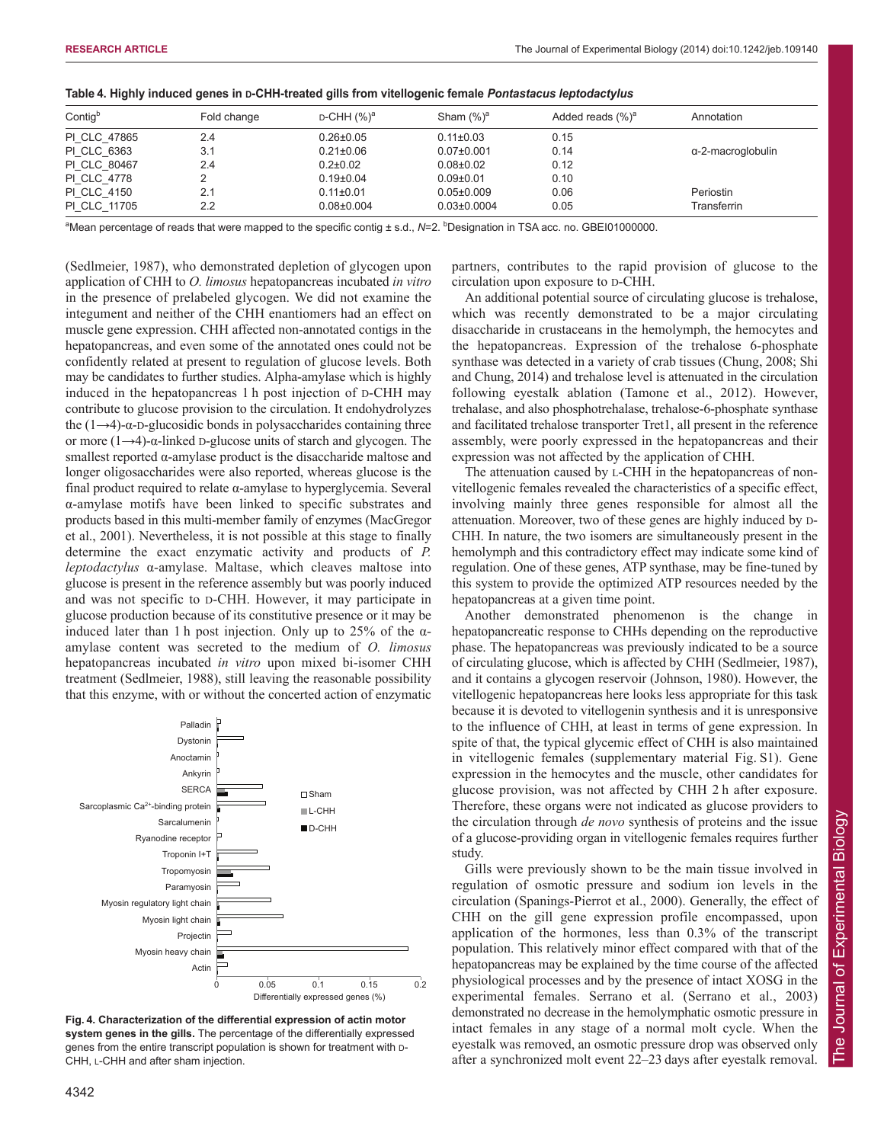| Contigb      | Fold change | $D$ -CHH $(\%)^a$ | Sham $(\%)^a$     | Added reads $(\%)^a$ | Annotation        |
|--------------|-------------|-------------------|-------------------|----------------------|-------------------|
| PI CLC 47865 | 2.4         | $0.26 \pm 0.05$   | $0.11 \pm 0.03$   | 0.15                 |                   |
| PI CLC 6363  | 3.1         | $0.21 \pm 0.06$   | $0.07 \pm 0.001$  | 0.14                 | α-2-macroglobulin |
| PI CLC 80467 | 2.4         | $0.2 \pm 0.02$    | $0.08 + 0.02$     | 0.12                 |                   |
| PI CLC 4778  |             | $0.19 \pm 0.04$   | $0.09 + 0.01$     | 0.10                 |                   |
| PI CLC 4150  | 2.1         | $0.11 \pm 0.01$   | $0.05 \pm 0.009$  | 0.06                 | Periostin         |
| PI CLC 11705 | 2.2         | $0.08 \pm 0.004$  | $0.03 \pm 0.0004$ | 0.05                 | Transferrin       |

| Table 4. Highly induced genes in D-CHH-treated gills from vitellogenic female Pontastacus leptodactylus |  |  |
|---------------------------------------------------------------------------------------------------------|--|--|
|                                                                                                         |  |  |

<sup>a</sup>Mean percentage of reads that were mapped to the specific contig ± s.d., N=2. <sup>b</sup>Designation in TSA acc. no. GBEI01000000.

(Sedlmeier, 1987), who demonstrated depletion of glycogen upon application of CHH to *O. limosus* hepatopancreas incubated *in vitro* in the presence of prelabeled glycogen. We did not examine the integument and neither of the CHH enantiomers had an effect on muscle gene expression. CHH affected non-annotated contigs in the hepatopancreas, and even some of the annotated ones could not be confidently related at present to regulation of glucose levels. Both may be candidates to further studies. Alpha-amylase which is highly induced in the hepatopancreas 1 h post injection of D-CHH may contribute to glucose provision to the circulation. It endohydrolyzes the  $(1\rightarrow 4)$ -α-D-glucosidic bonds in polysaccharides containing three or more  $(1\rightarrow 4)$ -α-linked D-glucose units of starch and glycogen. The smallest reported  $\alpha$ -amylase product is the disaccharide maltose and longer oligosaccharides were also reported, whereas glucose is the final product required to relate α-amylase to hyperglycemia. Several α-amylase motifs have been linked to specific substrates and products based in this multi-member family of enzymes (MacGregor et al., 2001). Nevertheless, it is not possible at this stage to finally determine the exact enzymatic activity and products of *P. leptodactylus* α-amylase. Maltase, which cleaves maltose into glucose is present in the reference assembly but was poorly induced and was not specific to D-CHH. However, it may participate in glucose production because of its constitutive presence or it may be induced later than 1 h post injection. Only up to 25% of the  $\alpha$ amylase content was secreted to the medium of *O. limosus* hepatopancreas incubated *in vitro* upon mixed bi-isomer CHH treatment (Sedlmeier, 1988), still leaving the reasonable possibility that this enzyme, with or without the concerted action of enzymatic



**Fig. 4. Characterization of the differential expression of actin motor system genes in the gills.** The percentage of the differentially expressed genes from the entire transcript population is shown for treatment with D-CHH, L-CHH and after sham injection.

partners, contributes to the rapid provision of glucose to the circulation upon exposure to D-CHH.

An additional potential source of circulating glucose is trehalose, which was recently demonstrated to be a major circulating disaccharide in crustaceans in the hemolymph, the hemocytes and the hepatopancreas. Expression of the trehalose 6-phosphate synthase was detected in a variety of crab tissues (Chung, 2008; Shi and Chung, 2014) and trehalose level is attenuated in the circulation following eyestalk ablation (Tamone et al., 2012). However, trehalase, and also phosphotrehalase, trehalose-6-phosphate synthase and facilitated trehalose transporter Tret1, all present in the reference assembly, were poorly expressed in the hepatopancreas and their expression was not affected by the application of CHH.

The attenuation caused by L-CHH in the hepatopancreas of nonvitellogenic females revealed the characteristics of a specific effect, involving mainly three genes responsible for almost all the attenuation. Moreover, two of these genes are highly induced by D-CHH. In nature, the two isomers are simultaneously present in the hemolymph and this contradictory effect may indicate some kind of regulation. One of these genes, ATP synthase, may be fine-tuned by this system to provide the optimized ATP resources needed by the hepatopancreas at a given time point.

Another demonstrated phenomenon is the change in hepatopancreatic response to CHHs depending on the reproductive phase. The hepatopancreas was previously indicated to be a source of circulating glucose, which is affected by CHH (Sedlmeier, 1987), and it contains a glycogen reservoir (Johnson, 1980). However, the vitellogenic hepatopancreas here looks less appropriate for this task because it is devoted to vitellogenin synthesis and it is unresponsive to the influence of CHH, at least in terms of gene expression. In spite of that, the typical glycemic effect of CHH is also maintained in vitellogenic females (supplementary material Fig. S1). Gene expression in the hemocytes and the muscle, other candidates for glucose provision, was not affected by CHH 2 h after exposure. Therefore, these organs were not indicated as glucose providers to the circulation through *de novo* synthesis of proteins and the issue of a glucose-providing organ in vitellogenic females requires further study.

Gills were previously shown to be the main tissue involved in regulation of osmotic pressure and sodium ion levels in the circulation (Spanings-Pierrot et al., 2000). Generally, the effect of CHH on the gill gene expression profile encompassed, upon application of the hormones, less than 0.3% of the transcript population. This relatively minor effect compared with that of the hepatopancreas may be explained by the time course of the affected physiological processes and by the presence of intact XOSG in the experimental females. Serrano et al. (Serrano et al., 2003) demonstrated no decrease in the hemolymphatic osmotic pressure in intact females in any stage of a normal molt cycle. When the eyestalk was removed, an osmotic pressure drop was observed only after a synchronized molt event 22–23 days after eyestalk removal.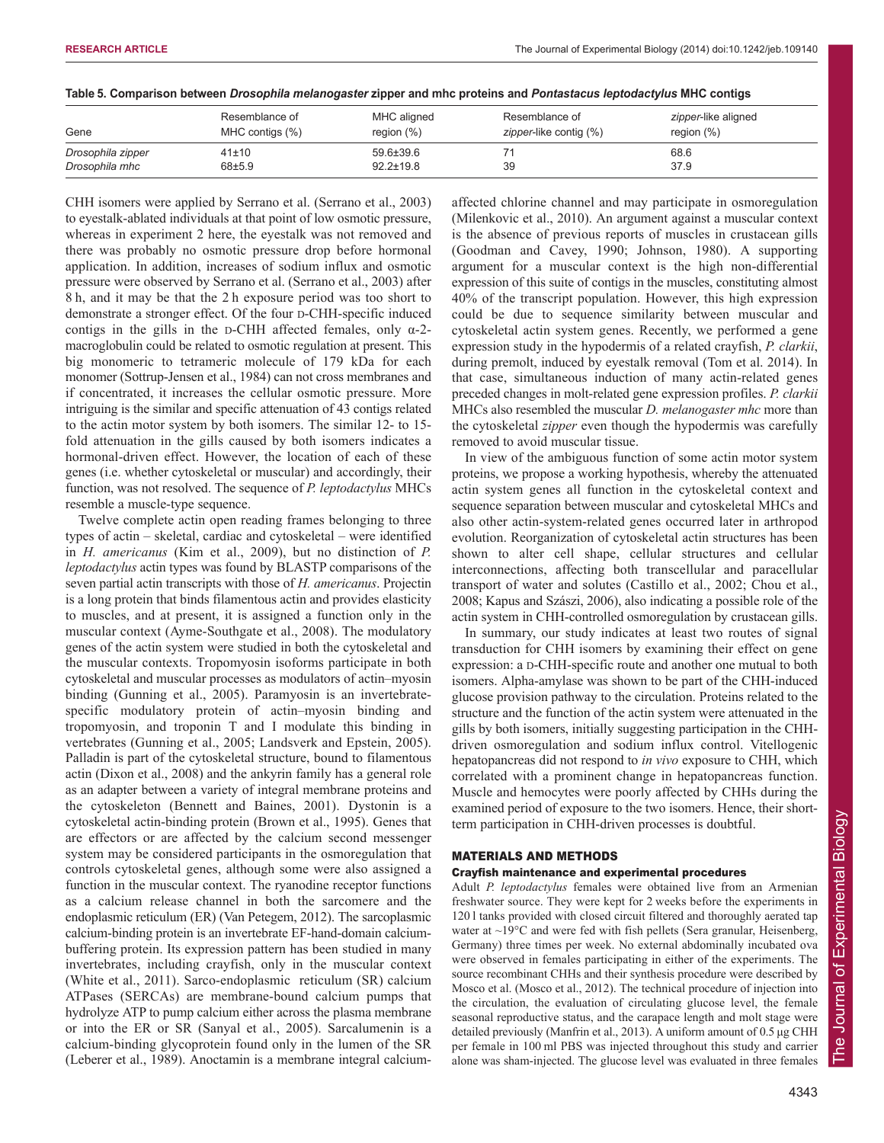|  |  | Table 5. Comparison between Drosophila melanogaster zipper and mhc proteins and Pontastacus leptodactylus MHC contigs |
|--|--|-----------------------------------------------------------------------------------------------------------------------|
|  |  |                                                                                                                       |

| Gene              | Resemblance of<br>MHC contigs (%) | MHC aligned<br>region $(\%)$ | Resemblance of<br>zipper-like contig (%) | zipper-like aligned<br>region $(\%)$ |
|-------------------|-----------------------------------|------------------------------|------------------------------------------|--------------------------------------|
| Drosophila zipper | 41±10                             | $59.6 \pm 39.6$              |                                          | 68.6                                 |
| Drosophila mhc    | $68 + 5.9$                        | $92.2 \pm 19.8$              | 39                                       | 37.9                                 |

CHH isomers were applied by Serrano et al. (Serrano et al., 2003) to eyestalk-ablated individuals at that point of low osmotic pressure, whereas in experiment 2 here, the eyestalk was not removed and there was probably no osmotic pressure drop before hormonal application. In addition, increases of sodium influx and osmotic pressure were observed by Serrano et al. (Serrano et al., 2003) after 8 h, and it may be that the 2 h exposure period was too short to demonstrate a stronger effect. Of the four D-CHH-specific induced contigs in the gills in the D-CHH affected females, only  $\alpha$ -2macroglobulin could be related to osmotic regulation at present. This big monomeric to tetrameric molecule of 179 kDa for each monomer (Sottrup-Jensen et al., 1984) can not cross membranes and if concentrated, it increases the cellular osmotic pressure. More intriguing is the similar and specific attenuation of 43 contigs related to the actin motor system by both isomers. The similar 12- to 15 fold attenuation in the gills caused by both isomers indicates a hormonal-driven effect. However, the location of each of these genes (i.e. whether cytoskeletal or muscular) and accordingly, their function, was not resolved. The sequence of *P. leptodactylus* MHCs resemble a muscle-type sequence.

Twelve complete actin open reading frames belonging to three types of actin – skeletal, cardiac and cytoskeletal – were identified in *H. americanus* (Kim et al., 2009), but no distinction of *P. leptodactylus* actin types was found by BLASTP comparisons of the seven partial actin transcripts with those of *H. americanus*. Projectin is a long protein that binds filamentous actin and provides elasticity to muscles, and at present, it is assigned a function only in the muscular context (Ayme-Southgate et al., 2008). The modulatory genes of the actin system were studied in both the cytoskeletal and the muscular contexts. Tropomyosin isoforms participate in both cytoskeletal and muscular processes as modulators of actin–myosin binding (Gunning et al., 2005). Paramyosin is an invertebratespecific modulatory protein of actin–myosin binding and tropomyosin, and troponin T and I modulate this binding in vertebrates (Gunning et al., 2005; Landsverk and Epstein, 2005). Palladin is part of the cytoskeletal structure, bound to filamentous actin (Dixon et al., 2008) and the ankyrin family has a general role as an adapter between a variety of integral membrane proteins and the cytoskeleton (Bennett and Baines, 2001). Dystonin is a cytoskeletal actin-binding protein (Brown et al., 1995). Genes that are effectors or are affected by the calcium second messenger system may be considered participants in the osmoregulation that controls cytoskeletal genes, although some were also assigned a function in the muscular context. The ryanodine receptor functions as a calcium release channel in both the sarcomere and the endoplasmic reticulum (ER) (Van Petegem, 2012). The sarcoplasmic calcium-binding protein is an invertebrate EF-hand-domain calciumbuffering protein. Its expression pattern has been studied in many invertebrates, including crayfish, only in the muscular context (White et al., 2011). Sarco-endoplasmic reticulum (SR) calcium ATPases (SERCAs) are membrane-bound calcium pumps that hydrolyze ATP to pump calcium either across the plasma membrane or into the ER or SR (Sanyal et al., 2005). Sarcalumenin is a calcium-binding glycoprotein found only in the lumen of the SR (Leberer et al., 1989). Anoctamin is a membrane integral calciumaffected chlorine channel and may participate in osmoregulation (Milenkovic et al., 2010). An argument against a muscular context is the absence of previous reports of muscles in crustacean gills (Goodman and Cavey, 1990; Johnson, 1980). A supporting argument for a muscular context is the high non-differential expression of this suite of contigs in the muscles, constituting almost 40% of the transcript population. However, this high expression could be due to sequence similarity between muscular and cytoskeletal actin system genes. Recently, we performed a gene expression study in the hypodermis of a related crayfish, *P. clarkii*, during premolt, induced by eyestalk removal (Tom et al. 2014). In that case, simultaneous induction of many actin-related genes preceded changes in molt-related gene expression profiles. *P. clarkii* MHCs also resembled the muscular *D. melanogaster mhc* more than the cytoskeletal *zipper* even though the hypodermis was carefully removed to avoid muscular tissue.

In view of the ambiguous function of some actin motor system proteins, we propose a working hypothesis, whereby the attenuated actin system genes all function in the cytoskeletal context and sequence separation between muscular and cytoskeletal MHCs and also other actin-system-related genes occurred later in arthropod evolution. Reorganization of cytoskeletal actin structures has been shown to alter cell shape, cellular structures and cellular interconnections, affecting both transcellular and paracellular transport of water and solutes (Castillo et al., 2002; Chou et al., 2008; Kapus and Szászi, 2006), also indicating a possible role of the actin system in CHH-controlled osmoregulation by crustacean gills.

In summary, our study indicates at least two routes of signal transduction for CHH isomers by examining their effect on gene expression: a D-CHH-specific route and another one mutual to both isomers. Alpha-amylase was shown to be part of the CHH-induced glucose provision pathway to the circulation. Proteins related to the structure and the function of the actin system were attenuated in the gills by both isomers, initially suggesting participation in the CHHdriven osmoregulation and sodium influx control. Vitellogenic hepatopancreas did not respond to *in vivo* exposure to CHH, which correlated with a prominent change in hepatopancreas function. Muscle and hemocytes were poorly affected by CHHs during the examined period of exposure to the two isomers. Hence, their shortterm participation in CHH-driven processes is doubtful.

## MATERIALS AND METHODS

### Crayfish maintenance and experimental procedures

Adult *P. leptodactylus* females were obtained live from an Armenian freshwater source. They were kept for 2 weeks before the experiments in 120 l tanks provided with closed circuit filtered and thoroughly aerated tap water at ~19°C and were fed with fish pellets (Sera granular, Heisenberg, Germany) three times per week. No external abdominally incubated ova were observed in females participating in either of the experiments. The source recombinant CHHs and their synthesis procedure were described by Mosco et al. (Mosco et al., 2012). The technical procedure of injection into the circulation, the evaluation of circulating glucose level, the female seasonal reproductive status, and the carapace length and molt stage were detailed previously (Manfrin et al., 2013). A uniform amount of 0.5 μg CHH per female in 100 ml PBS was injected throughout this study and carrier alone was sham-injected. The glucose level was evaluated in three females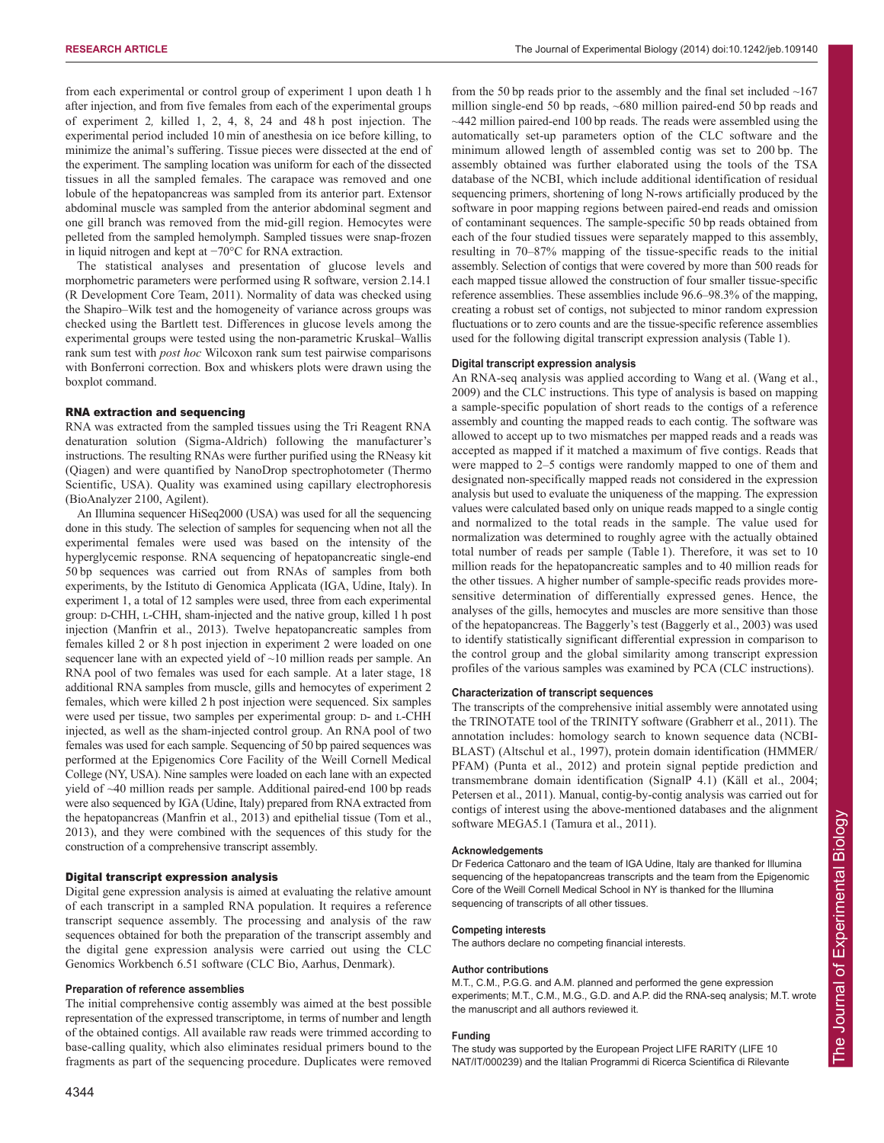from each experimental or control group of experiment 1 upon death 1 h after injection, and from five females from each of the experimental groups of experiment 2*,* killed 1, 2, 4, 8, 24 and 48 h post injection. The experimental period included 10 min of anesthesia on ice before killing, to minimize the animal's suffering. Tissue pieces were dissected at the end of the experiment. The sampling location was uniform for each of the dissected tissues in all the sampled females. The carapace was removed and one lobule of the hepatopancreas was sampled from its anterior part. Extensor abdominal muscle was sampled from the anterior abdominal segment and one gill branch was removed from the mid-gill region. Hemocytes were pelleted from the sampled hemolymph. Sampled tissues were snap-frozen in liquid nitrogen and kept at −70°C for RNA extraction.

The statistical analyses and presentation of glucose levels and morphometric parameters were performed using R software, version 2.14.1 (R Development Core Team, 2011). Normality of data was checked using the Shapiro–Wilk test and the homogeneity of variance across groups was checked using the Bartlett test. Differences in glucose levels among the experimental groups were tested using the non-parametric Kruskal–Wallis rank sum test with *post hoc* Wilcoxon rank sum test pairwise comparisons with Bonferroni correction. Box and whiskers plots were drawn using the boxplot command.

#### RNA extraction and sequencing

RNA was extracted from the sampled tissues using the Tri Reagent RNA denaturation solution (Sigma-Aldrich) following the manufacturer's instructions. The resulting RNAs were further purified using the RNeasy kit (Qiagen) and were quantified by NanoDrop spectrophotometer (Thermo Scientific, USA). Quality was examined using capillary electrophoresis (BioAnalyzer 2100, Agilent).

An Illumina sequencer HiSeq2000 (USA) was used for all the sequencing done in this study. The selection of samples for sequencing when not all the experimental females were used was based on the intensity of the hyperglycemic response. RNA sequencing of hepatopancreatic single-end 50 bp sequences was carried out from RNAs of samples from both experiments, by the Istituto di Genomica Applicata (IGA, Udine, Italy). In experiment 1, a total of 12 samples were used, three from each experimental group: D-CHH, L-CHH, sham-injected and the native group, killed 1 h post injection (Manfrin et al., 2013). Twelve hepatopancreatic samples from females killed 2 or 8 h post injection in experiment 2 were loaded on one sequencer lane with an expected yield of ~10 million reads per sample. An RNA pool of two females was used for each sample. At a later stage, 18 additional RNA samples from muscle, gills and hemocytes of experiment 2 females, which were killed 2 h post injection were sequenced. Six samples were used per tissue, two samples per experimental group: D- and L-CHH injected, as well as the sham-injected control group. An RNA pool of two females was used for each sample. Sequencing of 50 bp paired sequences was performed at the Epigenomics Core Facility of the Weill Cornell Medical College (NY, USA). Nine samples were loaded on each lane with an expected yield of ~40 million reads per sample. Additional paired-end 100 bp reads were also sequenced by IGA (Udine, Italy) prepared from RNA extracted from the hepatopancreas (Manfrin et al., 2013) and epithelial tissue (Tom et al., 2013), and they were combined with the sequences of this study for the construction of a comprehensive transcript assembly.

#### Digital transcript expression analysis

Digital gene expression analysis is aimed at evaluating the relative amount of each transcript in a sampled RNA population. It requires a reference transcript sequence assembly. The processing and analysis of the raw sequences obtained for both the preparation of the transcript assembly and the digital gene expression analysis were carried out using the CLC Genomics Workbench 6.51 software (CLC Bio, Aarhus, Denmark).

#### **Preparation of reference assemblies**

The initial comprehensive contig assembly was aimed at the best possible representation of the expressed transcriptome, in terms of number and length of the obtained contigs. All available raw reads were trimmed according to base-calling quality, which also eliminates residual primers bound to the fragments as part of the sequencing procedure. Duplicates were removed

4344

from the 50 bp reads prior to the assembly and the final set included  $~167$ million single-end 50 bp reads, ~680 million paired-end 50 bp reads and ~442 million paired-end 100 bp reads. The reads were assembled using the automatically set-up parameters option of the CLC software and the minimum allowed length of assembled contig was set to 200 bp. The assembly obtained was further elaborated using the tools of the TSA database of the NCBI, which include additional identification of residual sequencing primers, shortening of long N-rows artificially produced by the software in poor mapping regions between paired-end reads and omission of contaminant sequences. The sample-specific 50 bp reads obtained from each of the four studied tissues were separately mapped to this assembly, resulting in 70–87% mapping of the tissue-specific reads to the initial assembly. Selection of contigs that were covered by more than 500 reads for each mapped tissue allowed the construction of four smaller tissue-specific reference assemblies. These assemblies include 96.6–98.3% of the mapping, creating a robust set of contigs, not subjected to minor random expression fluctuations or to zero counts and are the tissue-specific reference assemblies used for the following digital transcript expression analysis (Table 1).

#### **Digital transcript expression analysis**

An RNA-seq analysis was applied according to Wang et al. (Wang et al., 2009) and the CLC instructions. This type of analysis is based on mapping a sample-specific population of short reads to the contigs of a reference assembly and counting the mapped reads to each contig. The software was allowed to accept up to two mismatches per mapped reads and a reads was accepted as mapped if it matched a maximum of five contigs. Reads that were mapped to 2–5 contigs were randomly mapped to one of them and designated non-specifically mapped reads not considered in the expression analysis but used to evaluate the uniqueness of the mapping. The expression values were calculated based only on unique reads mapped to a single contig and normalized to the total reads in the sample. The value used for normalization was determined to roughly agree with the actually obtained total number of reads per sample (Table 1). Therefore, it was set to 10 million reads for the hepatopancreatic samples and to 40 million reads for the other tissues. A higher number of sample-specific reads provides moresensitive determination of differentially expressed genes. Hence, the analyses of the gills, hemocytes and muscles are more sensitive than those of the hepatopancreas. The Baggerly's test (Baggerly et al., 2003) was used to identify statistically significant differential expression in comparison to the control group and the global similarity among transcript expression profiles of the various samples was examined by PCA (CLC instructions).

#### **Characterization of transcript sequences**

The transcripts of the comprehensive initial assembly were annotated using the TRINOTATE tool of the TRINITY software (Grabherr et al., 2011). The annotation includes: homology search to known sequence data (NCBI-BLAST) (Altschul et al., 1997), protein domain identification (HMMER/ PFAM) (Punta et al., 2012) and protein signal peptide prediction and transmembrane domain identification (SignalP 4.1) (Käll et al., 2004; Petersen et al., 2011). Manual, contig-by-contig analysis was carried out for contigs of interest using the above-mentioned databases and the alignment software MEGA5.1 (Tamura et al., 2011).

#### **Acknowledgements**

Dr Federica Cattonaro and the team of IGA Udine, Italy are thanked for Illumina sequencing of the hepatopancreas transcripts and the team from the Epigenomic Core of the Weill Cornell Medical School in NY is thanked for the Illumina sequencing of transcripts of all other tissues.

#### **Competing interests**

The authors declare no competing financial interests.

#### **Author contributions**

M.T., C.M., P.G.G. and A.M. planned and performed the gene expression experiments; M.T., C.M., M.G., G.D. and A.P. did the RNA-seq analysis; M.T. wrote the manuscript and all authors reviewed it.

#### **Funding**

The study was supported by the European Project LIFE RARITY (LIFE 10 NAT/IT/000239) and the Italian Programmi di Ricerca Scientifica di Rilevante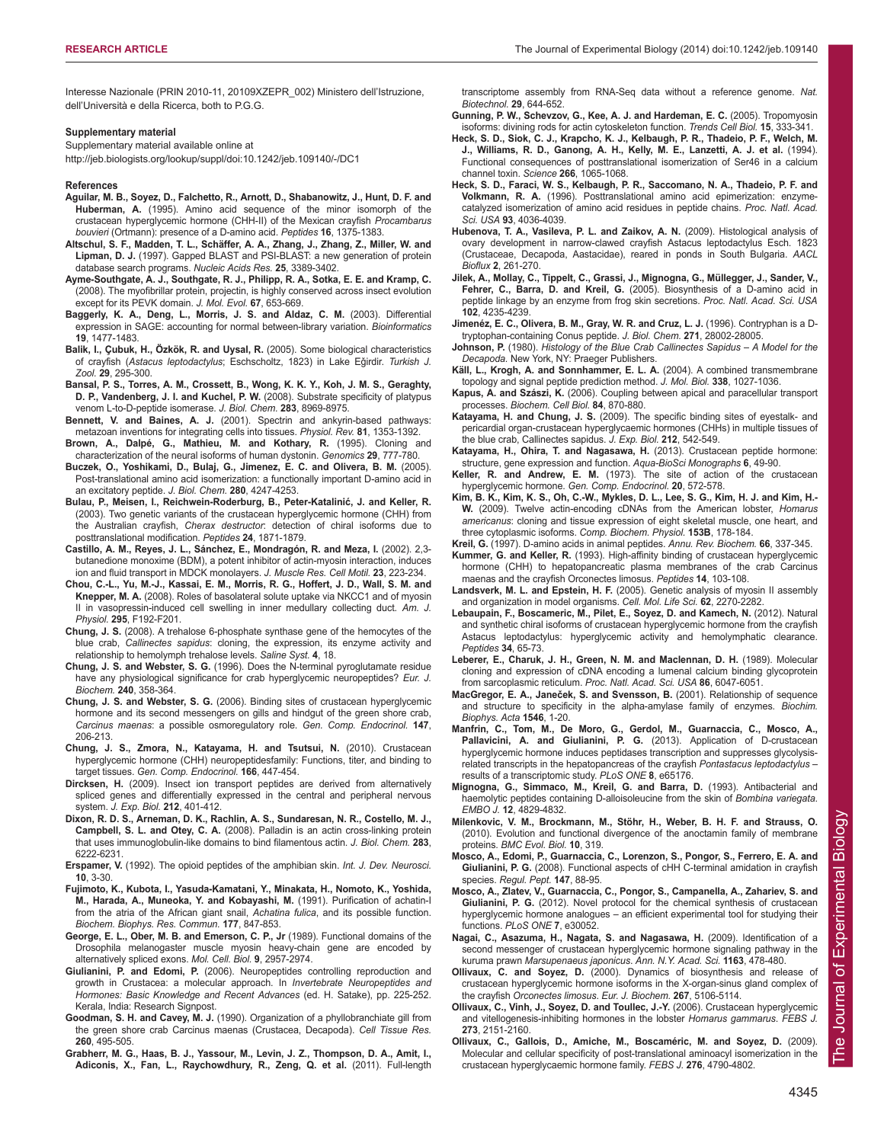Interesse Nazionale (PRIN 2010-11, 20109XZEPR\_002) Ministero dell'Istruzione, dell'Università e della Ricerca, both to P.G.G.

#### **Supplementary material**

Supplementary material available online at

http://jeb.biologists.org/lookup/suppl/doi:10.1242/jeb.109140/-/DC1

#### **References**

- **Aguilar, M. B., Soyez, D., Falchetto, R., Arnott, D., Shabanowitz, J., Hunt, D. F. and Huberman, A.** (1995). Amino acid sequence of the minor isomorph of the crustacean hyperglycemic hormone (CHH-II) of the Mexican crayfish *Procambarus bouvieri* (Ortmann): presence of a D-amino acid. *Peptides* **16**, 1375-1383.
- **Altschul, S. F., Madden, T. L., Schäffer, A. A., Zhang, J., Zhang, Z., Miller, W. and Lipman, D. J.** (1997). Gapped BLAST and PSI-BLAST: a new generation of protein database search programs. *Nucleic Acids Res.* **25**, 3389-3402.
- **Ayme-Southgate, A. J., Southgate, R. J., Philipp, R. A., Sotka, E. E. and Kramp, C.** (2008). The myofibrillar protein, projectin, is highly conserved across insect evolution except for its PEVK domain. *J. Mol. Evol.* **67**, 653-669.
- **Baggerly, K. A., Deng, L., Morris, J. S. and Aldaz, C. M.** (2003). Differential expression in SAGE: accounting for normal between-library variation. *Bioinformatics* **19**, 1477-1483.
- **Balik, I., Çubuk, H., Özkök, R. and Uysal, R.** (2005). Some biological characteristics of crayfish (*Astacus leptodactylus*; Eschscholtz, 1823) in Lake Eǧirdir. *Turkish J. Zool.* **29**, 295-300.
- **Bansal, P. S., Torres, A. M., Crossett, B., Wong, K. K. Y., Koh, J. M. S., Geraghty, D. P., Vandenberg, J. I. and Kuchel, P. W.** (2008). Substrate specificity of platypus venom L-to-D-peptide isomerase. *J. Biol. Chem.* **283**, 8969-8975.
- **Bennett, V. and Baines, A. J.** (2001). Spectrin and ankyrin-based pathways: metazoan inventions for integrating cells into tissues. *Physiol. Rev.* **81**, 1353-1392.
- **Brown, A., Dalpé, G., Mathieu, M. and Kothary, R.** (1995). Cloning and characterization of the neural isoforms of human dystonin. *Genomics* **29**, 777-780.
- **Buczek, O., Yoshikami, D., Bulaj, G., Jimenez, E. C. and Olivera, B. M.** (2005). Post-translational amino acid isomerization: a functionally important D-amino acid in an excitatory peptide. *J. Biol. Chem.* **280**, 4247-4253.
- **Bulau, P., Meisen, I., Reichwein-Roderburg, B., Peter-Katalinić, J. and Keller, R.** (2003). Two genetic variants of the crustacean hyperglycemic hormone (CHH) from the Australian crayfish, *Cherax destructor*: detection of chiral isoforms due to posttranslational modification. *Peptides* **24**, 1871-1879.
- **Castillo, A. M., Reyes, J. L., Sánchez, E., Mondragón, R. and Meza, I.** (2002). 2,3 butanedione monoxime (BDM), a potent inhibitor of actin-myosin interaction, induces ion and fluid transport in MDCK monolayers. *J. Muscle Res. Cell Motil.* **23**, 223-234.
- **Chou, C.-L., Yu, M.-J., Kassai, E. M., Morris, R. G., Hoffert, J. D., Wall, S. M. and Knepper, M. A.** (2008). Roles of basolateral solute uptake via NKCC1 and of myosin II in vasopressin-induced cell swelling in inner medullary collecting duct. *Am. J. Physiol.* **295**, F192-F201.
- **Chung, J. S.** (2008). A trehalose 6-phosphate synthase gene of the hemocytes of the blue crab, *Callinectes sapidus*: cloning, the expression, its enzyme activity and relationship to hemolymph trehalose levels. *Saline Syst.* **4**, 18.
- **Chung, J. S. and Webster, S. G.** (1996). Does the N-terminal pyroglutamate residue have any physiological significance for crab hyperglycemic neuropeptides? *Eur. J. Biochem.* **240**, 358-364.
- **Chung, J. S. and Webster, S. G.** (2006). Binding sites of crustacean hyperglycemic hormone and its second messengers on gills and hindgut of the green shore crab, *Carcinus maenas*: a possible osmoregulatory role. *Gen. Comp. Endocrinol.* **147**, 206-213.
- **Chung, J. S., Zmora, N., Katayama, H. and Tsutsui, N.** (2010). Crustacean hyperglycemic hormone (CHH) neuropeptidesfamily: Functions, titer, and binding to target tissues. *Gen. Comp. Endocrinol.* **166**, 447-454.
- **Dircksen, H.** (2009). Insect ion transport peptides are derived from alternatively spliced genes and differentially expressed in the central and peripheral nervous system. *J. Exp. Biol.* **212**, 401-412.
- **Dixon, R. D. S., Arneman, D. K., Rachlin, A. S., Sundaresan, N. R., Costello, M. J., Campbell, S. L. and Otey, C. A.** (2008). Palladin is an actin cross-linking protein that uses immunoglobulin-like domains to bind filamentous actin. *J. Biol. Chem.* **283**, 6222-6231.
- **Erspamer, V.** (1992). The opioid peptides of the amphibian skin. *Int. J. Dev. Neurosci.* **10**, 3-30.
- **Fujimoto, K., Kubota, I., Yasuda-Kamatani, Y., Minakata, H., Nomoto, K., Yoshida, M., Harada, A., Muneoka, Y. and Kobayashi, M.** (1991). Purification of achatin-I from the atria of the African giant snail, *Achatina fulica*, and its possible function. *Biochem. Biophys. Res. Commun.* **177**, 847-853.
- **George, E. L., Ober, M. B. and Emerson, C. P., Jr** (1989). Functional domains of the Drosophila melanogaster muscle myosin heavy-chain gene are encoded by alternatively spliced exons. *Mol. Cell. Biol.* **9**, 2957-2974.
- **Giulianini, P. and Edomi, P.** (2006). Neuropeptides controlling reproduction and growth in Crustacea: a molecular approach. In *Invertebrate Neuropeptides and Hormones: Basic Knowledge and Recent Advances* (ed. H. Satake), pp. 225-252. Kerala, India: Research Signpost.
- **Goodman, S. H. and Cavey, M. J.** (1990). Organization of a phyllobranchiate gill from the green shore crab Carcinus maenas (Crustacea, Decapoda). *Cell Tissue Res.* **260**, 495-505.
- **Grabherr, M. G., Haas, B. J., Yassour, M., Levin, J. Z., Thompson, D. A., Amit, I., Adiconis, X., Fan, L., Raychowdhury, R., Zeng, Q. et al.** (2011). Full-length

transcriptome assembly from RNA-Seq data without a reference genome. *Nat. Biotechnol.* **29**, 644-652.

- **Gunning, P. W., Schevzov, G., Kee, A. J. and Hardeman, E. C.** (2005). Tropomyosin isoforms: divining rods for actin cytoskeleton function. *Trends Cell Biol.* **15**, 333-341.
- **Heck, S. D., Siok, C. J., Krapcho, K. J., Kelbaugh, P. R., Thadeio, P. F., Welch, M. J., Williams, R. D., Ganong, A. H., Kelly, M. E., Lanzetti, A. J. et al.** (1994). Functional consequences of posttranslational isomerization of Ser46 in a calcium channel toxin. *Science* **266**, 1065-1068.
- **Heck, S. D., Faraci, W. S., Kelbaugh, P. R., Saccomano, N. A., Thadeio, P. F. and Volkmann, R. A.** (1996). Posttranslational amino acid epimerization: enzymecatalyzed isomerization of amino acid residues in peptide chains. *Proc. Natl. Acad. Sci. USA* **93**, 4036-4039.
- **Hubenova, T. A., Vasileva, P. L. and Zaikov, A. N.** (2009). Histological analysis of ovary development in narrow-clawed crayfish Astacus leptodactylus Esch. 1823 (Crustaceae, Decapoda, Aastacidae), reared in ponds in South Bulgaria. *AACL Bioflux* **2**, 261-270.
- **Jilek, A., Mollay, C., Tippelt, C., Grassi, J., Mignogna, G., Müllegger, J., Sander, V., Fehrer, C., Barra, D. and Kreil, G.** (2005). Biosynthesis of a D-amino acid in peptide linkage by an enzyme from frog skin secretions. *Proc. Natl. Acad. Sci. USA* **102**, 4235-4239.
- **Jimenéz, E. C., Olivera, B. M., Gray, W. R. and Cruz, L. J.** (1996). Contryphan is a Dtryptophan-containing Conus peptide. *J. Biol. Chem.* **271**, 28002-28005.
- **Johnson, P.** (1980). *Histology of the Blue Crab Callinectes Sapidus A Model for the Decapoda.* New York, NY: Praeger Publishers.
- **Käll, L., Krogh, A. and Sonnhammer, E. L. A.** (2004). A combined transmembrane topology and signal peptide prediction method. *J. Mol. Biol.* **338**, 1027-1036.
- **Kapus, A. and Szászi, K.** (2006). Coupling between apical and paracellular transport processes. *Biochem. Cell Biol.* **84**, 870-880.
- **Katayama, H. and Chung, J. S.** (2009). The specific binding sites of eyestalk- and pericardial organ-crustacean hyperglycaemic hormones (CHHs) in multiple tissues of the blue crab, Callinectes sapidus. *J. Exp. Biol.* **212**, 542-549.
- **Katayama, H., Ohira, T. and Nagasawa, H.** (2013). Crustacean peptide hormone: structure, gene expression and function. *Aqua-BioSci Monographs* **6**, 49-90.
- **Keller, R. and Andrew, E. M.** (1973). The site of action of the crustacean hyperglycemic hormone. *Gen. Comp. Endocrinol.* **20**, 572-578.
- **Kim, B. K., Kim, K. S., Oh, C.-W., Mykles, D. L., Lee, S. G., Kim, H. J. and Kim, H.- W.** (2009). Twelve actin-encoding cDNAs from the American lobster, *Homarus americanus*: cloning and tissue expression of eight skeletal muscle, one heart, and three cytoplasmic isoforms. *Comp. Biochem. Physiol.* **153B**, 178-184.
- **Kreil, G.** (1997). D-amino acids in animal peptides. *Annu. Rev. Biochem.* **66**, 337-345. **Kummer, G. and Keller, R.** (1993). High-affinity binding of crustacean hyperglycemic hormone (CHH) to hepatopancreatic plasma membranes of the crab Carcinus maenas and the crayfish Orconectes limosus. *Peptides* **14**, 103-108.
- **Landsverk, M. L. and Epstein, H. F.** (2005). Genetic analysis of myosin II assembly and organization in model organisms. *Cell. Mol. Life Sci.* **62**, 2270-2282.
- **Lebaupain, F., Boscameric, M., Pilet, E., Soyez, D. and Kamech, N.** (2012). Natural and synthetic chiral isoforms of crustacean hyperglycemic hormone from the crayfish Astacus leptodactylus: hyperglycemic activity and hemolymphatic clearance. *Peptides* **34**, 65-73.
- **Leberer, E., Charuk, J. H., Green, N. M. and Maclennan, D. H.** (1989). Molecular cloning and expression of cDNA encoding a lumenal calcium binding glycoprotein from sarcoplasmic reticulum. *Proc. Natl. Acad. Sci. USA* **86**, 6047-6051.
- **MacGregor, E. A., Janeček, S. and Svensson, B.** (2001). Relationship of sequence and structure to specificity in the alpha-amylase family of enzymes. *Biochim. Biophys. Acta* **1546**, 1-20.
- **Manfrin, C., Tom, M., De Moro, G., Gerdol, M., Guarnaccia, C., Mosco, A., Pallavicini, A. and Giulianini, P. G.** (2013). Application of D-crustacean hyperglycemic hormone induces peptidases transcription and suppresses glycolysisrelated transcripts in the hepatopancreas of the crayfish *Pontastacus leptodactylus* – results of a transcriptomic study. *PLoS ONE* **8**, e65176.
- **Mignogna, G., Simmaco, M., Kreil, G. and Barra, D.** (1993). Antibacterial and haemolytic peptides containing D-alloisoleucine from the skin of *Bombina variegata*. *EMBO J.* **12**, 4829-4832.
- **Milenkovic, V. M., Brockmann, M., Stöhr, H., Weber, B. H. F. and Strauss, O.** (2010). Evolution and functional divergence of the anoctamin family of membrane proteins. *BMC Evol. Biol.* **10**, 319.
- **Mosco, A., Edomi, P., Guarnaccia, C., Lorenzon, S., Pongor, S., Ferrero, E. A. and Giulianini, P. G.** (2008). Functional aspects of cHH C-terminal amidation in crayfish species. *Regul. Pept.* **147**, 88-95.
- **Mosco, A., Zlatev, V., Guarnaccia, C., Pongor, S., Campanella, A., Zahariev, S. and Giulianini, P. G.** (2012). Novel protocol for the chemical synthesis of crustacean hyperglycemic hormone analogues – an efficient experimental tool for studying their functions. *PLoS ONE* **7**, e30052.
- **Nagai, C., Asazuma, H., Nagata, S. and Nagasawa, H.** (2009). Identification of a second messenger of crustacean hyperglycemic hormone signaling pathway in the kuruma prawn *Marsupenaeus japonicus*. *Ann. N.Y. Acad. Sci.* **1163**, 478-480.
- **Ollivaux, C. and Soyez, D.** (2000). Dynamics of biosynthesis and release of crustacean hyperglycemic hormone isoforms in the X-organ-sinus gland complex of the crayfish *Orconectes limosus*. *Eur. J. Biochem.* **267**, 5106-5114.
- **Ollivaux, C., Vinh, J., Soyez, D. and Toullec, J.-Y.** (2006). Crustacean hyperglycemic and vitellogenesis-inhibiting hormones in the lobster *Homarus gammarus*. *FEBS J.* **273**, 2151-2160.
- **Ollivaux, C., Gallois, D., Amiche, M., Boscaméric, M. and Soyez, D.** (2009). Molecular and cellular specificity of post-translational aminoacyl isomerization in the crustacean hyperglycaemic hormone family. *FEBS J.* **276**, 4790-4802.